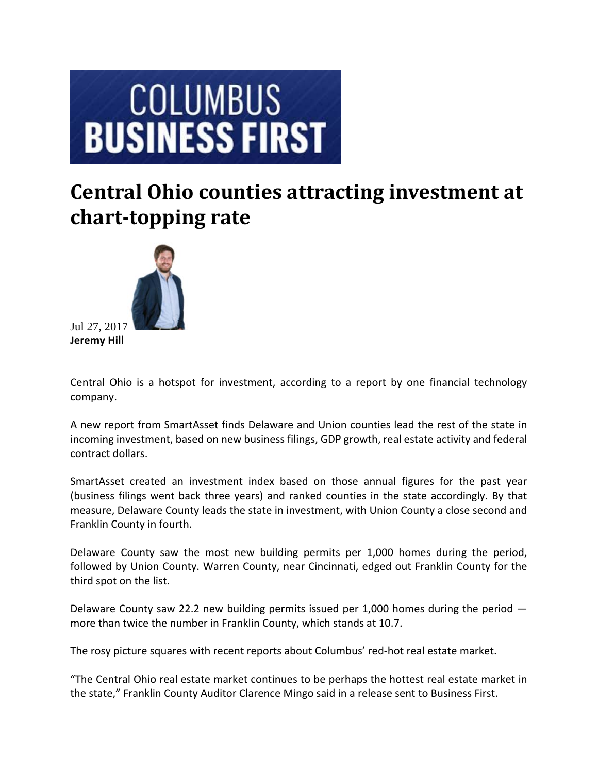## **COLUMBUS BUSINESS FIRST**

## **Central Ohio counties attracting investment at chart-topping rate**



Jul 27, 2017 **Jeremy Hill**

Central Ohio is a hotspot for investment, according to a report by one financial technology company.

A new report from SmartAsset finds Delaware and Union counties lead the rest of the state in incoming investment, based on new business filings, GDP growth, real estate activity and federal contract dollars.

SmartAsset created an investment index based on those annual figures for the past year (business filings went back three years) and ranked counties in the state accordingly. By that measure, Delaware County leads the state in investment, with Union County a close second and Franklin County in fourth.

Delaware County saw the most new building permits per 1,000 homes during the period, followed by Union County. Warren County, near Cincinnati, edged out Franklin County for the third spot on the list.

Delaware County saw 22.2 new building permits issued per 1,000 homes during the period more than twice the number in Franklin County, which stands at 10.7.

The rosy picture squares with recent reports about Columbus' red‐hot real estate market.

"The Central Ohio real estate market continues to be perhaps the hottest real estate market in the state," Franklin County Auditor Clarence Mingo said in a release sent to Business First.